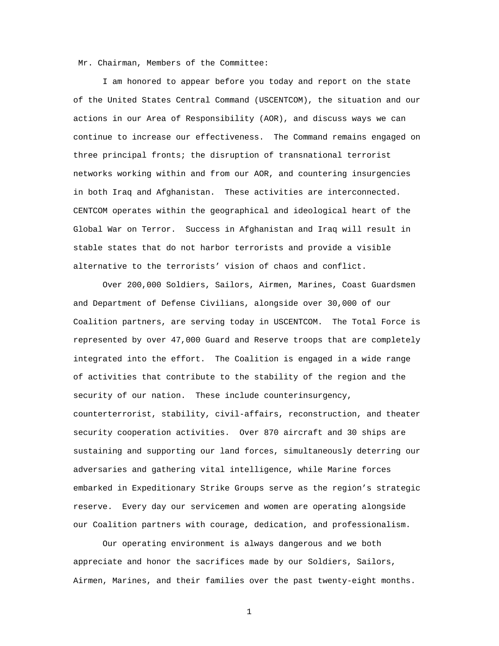Mr. Chairman, Members of the Committee:

I am honored to appear before you today and report on the state of the United States Central Command (USCENTCOM), the situation and our actions in our Area of Responsibility (AOR), and discuss ways we can continue to increase our effectiveness. The Command remains engaged on three principal fronts; the disruption of transnational terrorist networks working within and from our AOR, and countering insurgencies in both Iraq and Afghanistan. These activities are interconnected. CENTCOM operates within the geographical and ideological heart of the Global War on Terror. Success in Afghanistan and Iraq will result in stable states that do not harbor terrorists and provide a visible alternative to the terrorists' vision of chaos and conflict.

Over 200,000 Soldiers, Sailors, Airmen, Marines, Coast Guardsmen and Department of Defense Civilians, alongside over 30,000 of our Coalition partners, are serving today in USCENTCOM. The Total Force is represented by over 47,000 Guard and Reserve troops that are completely integrated into the effort. The Coalition is engaged in a wide range of activities that contribute to the stability of the region and the security of our nation. These include counterinsurgency, counterterrorist, stability, civil-affairs, reconstruction, and theater security cooperation activities. Over 870 aircraft and 30 ships are sustaining and supporting our land forces, simultaneously deterring our adversaries and gathering vital intelligence, while Marine forces embarked in Expeditionary Strike Groups serve as the region's strategic reserve. Every day our servicemen and women are operating alongside our Coalition partners with courage, dedication, and professionalism.

Our operating environment is always dangerous and we both appreciate and honor the sacrifices made by our Soldiers, Sailors, Airmen, Marines, and their families over the past twenty-eight months.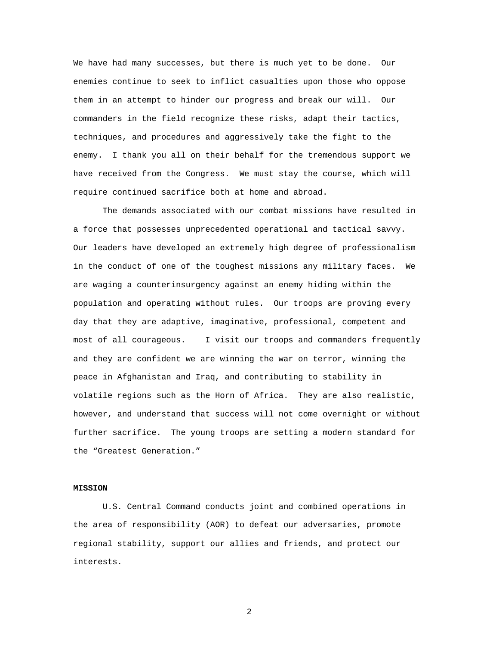We have had many successes, but there is much yet to be done. Our enemies continue to seek to inflict casualties upon those who oppose them in an attempt to hinder our progress and break our will. Our commanders in the field recognize these risks, adapt their tactics, techniques, and procedures and aggressively take the fight to the enemy. I thank you all on their behalf for the tremendous support we have received from the Congress. We must stay the course, which will require continued sacrifice both at home and abroad.

The demands associated with our combat missions have resulted in a force that possesses unprecedented operational and tactical savvy. Our leaders have developed an extremely high degree of professionalism in the conduct of one of the toughest missions any military faces. We are waging a counterinsurgency against an enemy hiding within the population and operating without rules. Our troops are proving every day that they are adaptive, imaginative, professional, competent and most of all courageous. I visit our troops and commanders frequently and they are confident we are winning the war on terror, winning the peace in Afghanistan and Iraq, and contributing to stability in volatile regions such as the Horn of Africa. They are also realistic, however, and understand that success will not come overnight or without further sacrifice. The young troops are setting a modern standard for the "Greatest Generation."

### **MISSION**

U.S. Central Command conducts joint and combined operations in the area of responsibility (AOR) to defeat our adversaries, promote regional stability, support our allies and friends, and protect our interests.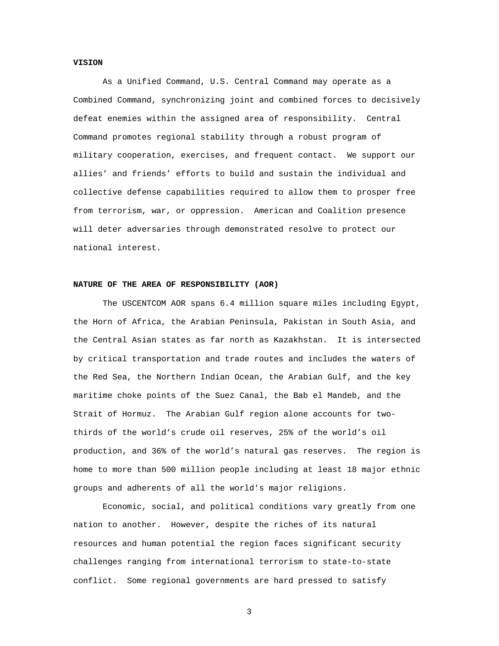# **VISION**

As a Unified Command, U.S. Central Command may operate as a Combined Command, synchronizing joint and combined forces to decisively defeat enemies within the assigned area of responsibility. Central Command promotes regional stability through a robust program of military cooperation, exercises, and frequent contact. We support our allies' and friends' efforts to build and sustain the individual and collective defense capabilities required to allow them to prosper free from terrorism, war, or oppression. American and Coalition presence will deter adversaries through demonstrated resolve to protect our national interest.

### **NATURE OF THE AREA OF RESPONSIBILITY (AOR)**

The USCENTCOM AOR spans 6.4 million square miles including Egypt, the Horn of Africa, the Arabian Peninsula, Pakistan in South Asia, and the Central Asian states as far north as Kazakhstan. It is intersected by critical transportation and trade routes and includes the waters of the Red Sea, the Northern Indian Ocean, the Arabian Gulf, and the key maritime choke points of the Suez Canal, the Bab el Mandeb, and the Strait of Hormuz. The Arabian Gulf region alone accounts for twothirds of the world's crude oil reserves, 25% of the world's oil production, and 36% of the world's natural gas reserves. The region is home to more than 500 million people including at least 18 major ethnic groups and adherents of all the world's major religions.

Economic, social, and political conditions vary greatly from one nation to another. However, despite the riches of its natural resources and human potential the region faces significant security challenges ranging from international terrorism to state-to-state conflict. Some regional governments are hard pressed to satisfy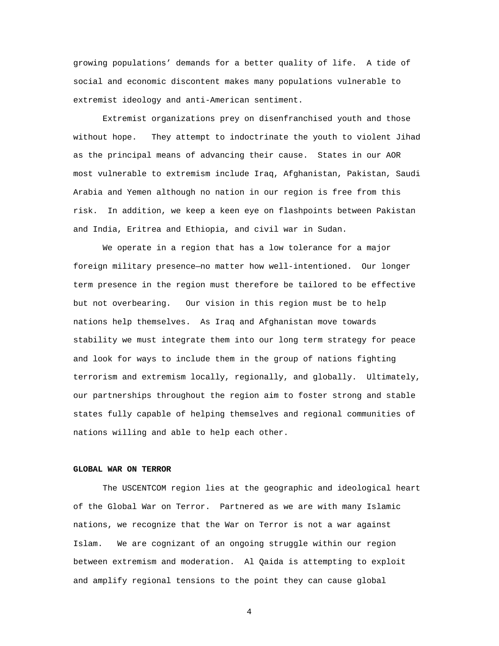growing populations' demands for a better quality of life. A tide of social and economic discontent makes many populations vulnerable to extremist ideology and anti-American sentiment.

Extremist organizations prey on disenfranchised youth and those without hope. They attempt to indoctrinate the youth to violent Jihad as the principal means of advancing their cause. States in our AOR most vulnerable to extremism include Iraq, Afghanistan, Pakistan, Saudi Arabia and Yemen although no nation in our region is free from this risk. In addition, we keep a keen eye on flashpoints between Pakistan and India, Eritrea and Ethiopia, and civil war in Sudan.

We operate in a region that has a low tolerance for a major foreign military presence—no matter how well-intentioned. Our longer term presence in the region must therefore be tailored to be effective but not overbearing. Our vision in this region must be to help nations help themselves. As Iraq and Afghanistan move towards stability we must integrate them into our long term strategy for peace and look for ways to include them in the group of nations fighting terrorism and extremism locally, regionally, and globally. Ultimately, our partnerships throughout the region aim to foster strong and stable states fully capable of helping themselves and regional communities of nations willing and able to help each other.

# **GLOBAL WAR ON TERROR**

The USCENTCOM region lies at the geographic and ideological heart of the Global War on Terror. Partnered as we are with many Islamic nations, we recognize that the War on Terror is not a war against Islam. We are cognizant of an ongoing struggle within our region between extremism and moderation. Al Qaida is attempting to exploit and amplify regional tensions to the point they can cause global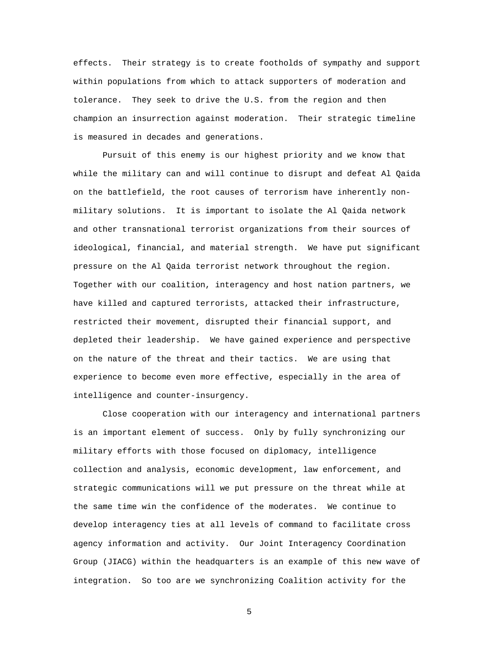effects. Their strategy is to create footholds of sympathy and support within populations from which to attack supporters of moderation and tolerance. They seek to drive the U.S. from the region and then champion an insurrection against moderation. Their strategic timeline is measured in decades and generations.

Pursuit of this enemy is our highest priority and we know that while the military can and will continue to disrupt and defeat Al Qaida on the battlefield, the root causes of terrorism have inherently nonmilitary solutions. It is important to isolate the Al Qaida network and other transnational terrorist organizations from their sources of ideological, financial, and material strength. We have put significant pressure on the Al Qaida terrorist network throughout the region. Together with our coalition, interagency and host nation partners, we have killed and captured terrorists, attacked their infrastructure, restricted their movement, disrupted their financial support, and depleted their leadership. We have gained experience and perspective on the nature of the threat and their tactics. We are using that experience to become even more effective, especially in the area of intelligence and counter-insurgency.

Close cooperation with our interagency and international partners is an important element of success. Only by fully synchronizing our military efforts with those focused on diplomacy, intelligence collection and analysis, economic development, law enforcement, and strategic communications will we put pressure on the threat while at the same time win the confidence of the moderates. We continue to develop interagency ties at all levels of command to facilitate cross agency information and activity. Our Joint Interagency Coordination Group (JIACG) within the headquarters is an example of this new wave of integration. So too are we synchronizing Coalition activity for the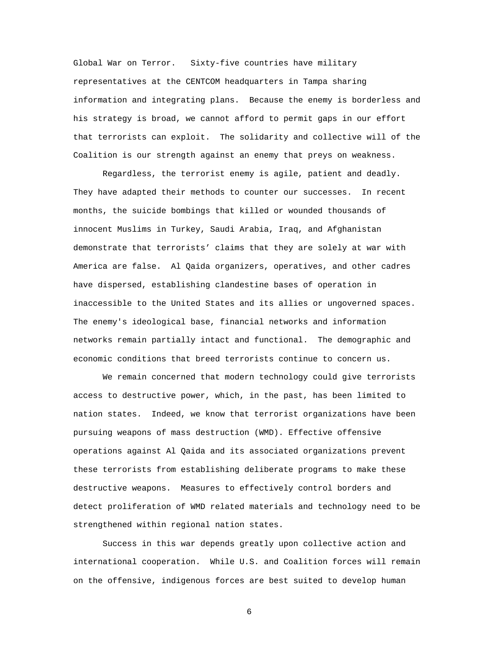Global War on Terror. Sixty-five countries have military representatives at the CENTCOM headquarters in Tampa sharing information and integrating plans. Because the enemy is borderless and his strategy is broad, we cannot afford to permit gaps in our effort that terrorists can exploit. The solidarity and collective will of the Coalition is our strength against an enemy that preys on weakness.

Regardless, the terrorist enemy is agile, patient and deadly. They have adapted their methods to counter our successes. In recent months, the suicide bombings that killed or wounded thousands of innocent Muslims in Turkey, Saudi Arabia, Iraq, and Afghanistan demonstrate that terrorists' claims that they are solely at war with America are false. Al Qaida organizers, operatives, and other cadres have dispersed, establishing clandestine bases of operation in inaccessible to the United States and its allies or ungoverned spaces. The enemy's ideological base, financial networks and information networks remain partially intact and functional. The demographic and economic conditions that breed terrorists continue to concern us.

We remain concerned that modern technology could give terrorists access to destructive power, which, in the past, has been limited to nation states. Indeed, we know that terrorist organizations have been pursuing weapons of mass destruction (WMD). Effective offensive operations against Al Qaida and its associated organizations prevent these terrorists from establishing deliberate programs to make these destructive weapons. Measures to effectively control borders and detect proliferation of WMD related materials and technology need to be strengthened within regional nation states.

Success in this war depends greatly upon collective action and international cooperation. While U.S. and Coalition forces will remain on the offensive, indigenous forces are best suited to develop human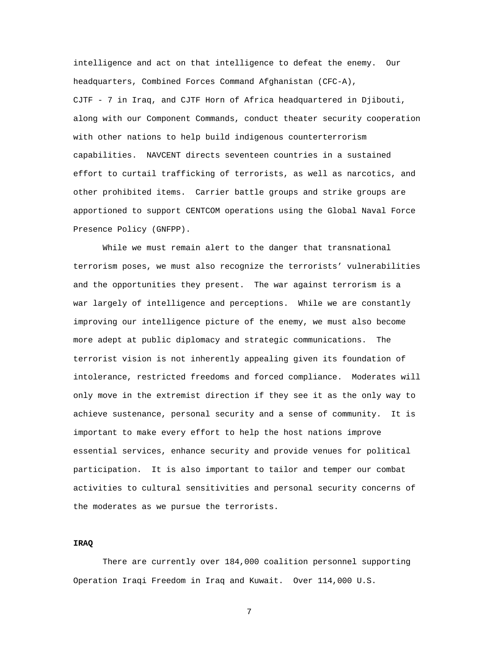intelligence and act on that intelligence to defeat the enemy. Our headquarters, Combined Forces Command Afghanistan (CFC-A), CJTF - 7 in Iraq, and CJTF Horn of Africa headquartered in Djibouti, along with our Component Commands, conduct theater security cooperation with other nations to help build indigenous counterterrorism capabilities. NAVCENT directs seventeen countries in a sustained effort to curtail trafficking of terrorists, as well as narcotics, and other prohibited items. Carrier battle groups and strike groups are apportioned to support CENTCOM operations using the Global Naval Force Presence Policy (GNFPP).

While we must remain alert to the danger that transnational terrorism poses, we must also recognize the terrorists' vulnerabilities and the opportunities they present. The war against terrorism is a war largely of intelligence and perceptions. While we are constantly improving our intelligence picture of the enemy, we must also become more adept at public diplomacy and strategic communications. The terrorist vision is not inherently appealing given its foundation of intolerance, restricted freedoms and forced compliance. Moderates will only move in the extremist direction if they see it as the only way to achieve sustenance, personal security and a sense of community. It is important to make every effort to help the host nations improve essential services, enhance security and provide venues for political participation. It is also important to tailor and temper our combat activities to cultural sensitivities and personal security concerns of the moderates as we pursue the terrorists.

### **IRAQ**

There are currently over 184,000 coalition personnel supporting Operation Iraqi Freedom in Iraq and Kuwait. Over 114,000 U.S.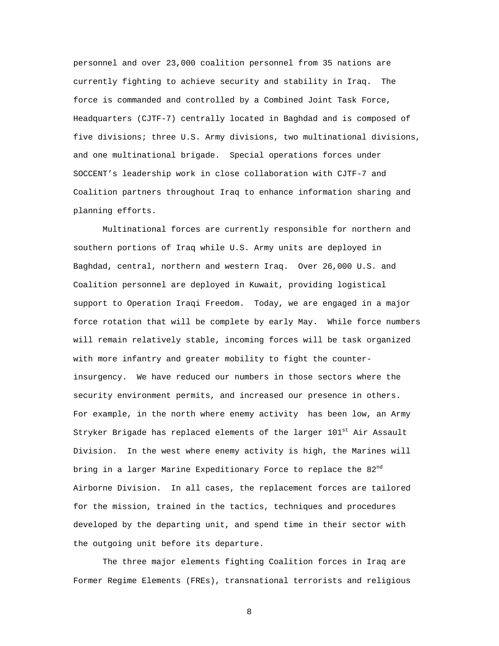personnel and over 23,000 coalition personnel from 35 nations are currently fighting to achieve security and stability in Iraq. The force is commanded and controlled by a Combined Joint Task Force, Headquarters (CJTF-7) centrally located in Baghdad and is composed of five divisions; three U.S. Army divisions, two multinational divisions, and one multinational brigade. Special operations forces under SOCCENT's leadership work in close collaboration with CJTF-7 and Coalition partners throughout Iraq to enhance information sharing and planning efforts.

Multinational forces are currently responsible for northern and southern portions of Iraq while U.S. Army units are deployed in Baghdad, central, northern and western Iraq. Over 26,000 U.S. and Coalition personnel are deployed in Kuwait, providing logistical support to Operation Iraqi Freedom. Today, we are engaged in a major force rotation that will be complete by early May. While force numbers will remain relatively stable, incoming forces will be task organized with more infantry and greater mobility to fight the counterinsurgency. We have reduced our numbers in those sectors where the security environment permits, and increased our presence in others. For example, in the north where enemy activity has been low, an Army Stryker Brigade has replaced elements of the larger  $101^{\rm st}$  Air Assault Division. In the west where enemy activity is high, the Marines will bring in a larger Marine Expeditionary Force to replace the 82<sup>nd</sup> Airborne Division. In all cases, the replacement forces are tailored for the mission, trained in the tactics, techniques and procedures developed by the departing unit, and spend time in their sector with the outgoing unit before its departure.

The three major elements fighting Coalition forces in Iraq are Former Regime Elements (FREs), transnational terrorists and religious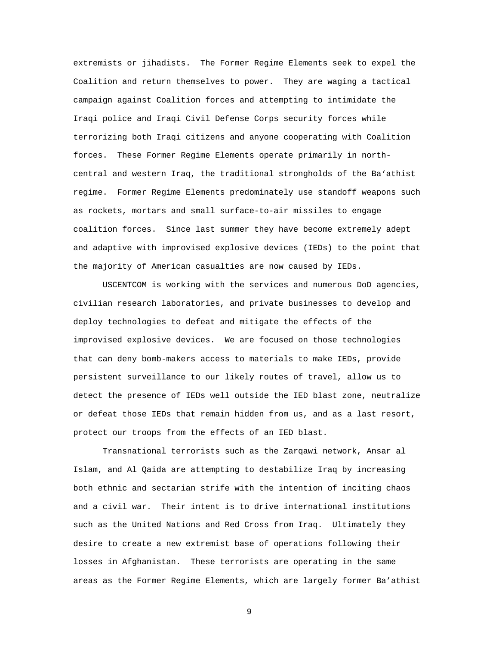extremists or jihadists. The Former Regime Elements seek to expel the Coalition and return themselves to power. They are waging a tactical campaign against Coalition forces and attempting to intimidate the Iraqi police and Iraqi Civil Defense Corps security forces while terrorizing both Iraqi citizens and anyone cooperating with Coalition forces. These Former Regime Elements operate primarily in northcentral and western Iraq, the traditional strongholds of the Ba'athist regime. Former Regime Elements predominately use standoff weapons such as rockets, mortars and small surface-to-air missiles to engage coalition forces. Since last summer they have become extremely adept and adaptive with improvised explosive devices (IEDs) to the point that the majority of American casualties are now caused by IEDs.

USCENTCOM is working with the services and numerous DoD agencies, civilian research laboratories, and private businesses to develop and deploy technologies to defeat and mitigate the effects of the improvised explosive devices. We are focused on those technologies that can deny bomb-makers access to materials to make IEDs, provide persistent surveillance to our likely routes of travel, allow us to detect the presence of IEDs well outside the IED blast zone, neutralize or defeat those IEDs that remain hidden from us, and as a last resort, protect our troops from the effects of an IED blast.

Transnational terrorists such as the Zarqawi network, Ansar al Islam, and Al Qaida are attempting to destabilize Iraq by increasing both ethnic and sectarian strife with the intention of inciting chaos and a civil war. Their intent is to drive international institutions such as the United Nations and Red Cross from Iraq. Ultimately they desire to create a new extremist base of operations following their losses in Afghanistan. These terrorists are operating in the same areas as the Former Regime Elements, which are largely former Ba'athist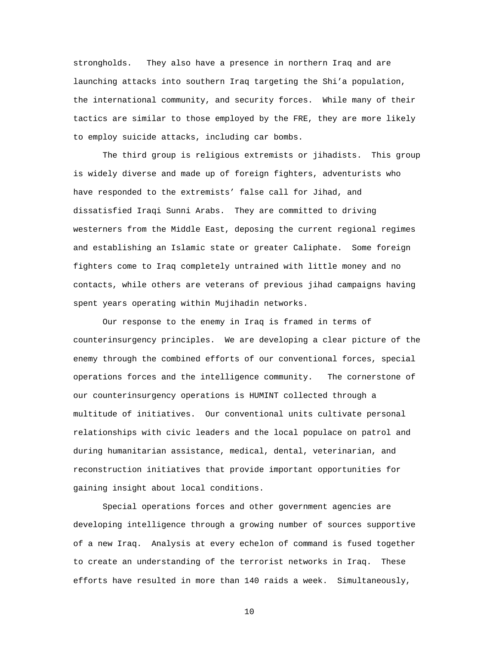strongholds. They also have a presence in northern Iraq and are launching attacks into southern Iraq targeting the Shi'a population, the international community, and security forces. While many of their tactics are similar to those employed by the FRE, they are more likely to employ suicide attacks, including car bombs.

The third group is religious extremists or jihadists. This group is widely diverse and made up of foreign fighters, adventurists who have responded to the extremists' false call for Jihad, and dissatisfied Iraqi Sunni Arabs. They are committed to driving westerners from the Middle East, deposing the current regional regimes and establishing an Islamic state or greater Caliphate. Some foreign fighters come to Iraq completely untrained with little money and no contacts, while others are veterans of previous jihad campaigns having spent years operating within Mujihadin networks.

Our response to the enemy in Iraq is framed in terms of counterinsurgency principles. We are developing a clear picture of the enemy through the combined efforts of our conventional forces, special operations forces and the intelligence community. The cornerstone of our counterinsurgency operations is HUMINT collected through a multitude of initiatives. Our conventional units cultivate personal relationships with civic leaders and the local populace on patrol and during humanitarian assistance, medical, dental, veterinarian, and reconstruction initiatives that provide important opportunities for gaining insight about local conditions.

Special operations forces and other government agencies are developing intelligence through a growing number of sources supportive of a new Iraq. Analysis at every echelon of command is fused together to create an understanding of the terrorist networks in Iraq. These efforts have resulted in more than 140 raids a week. Simultaneously,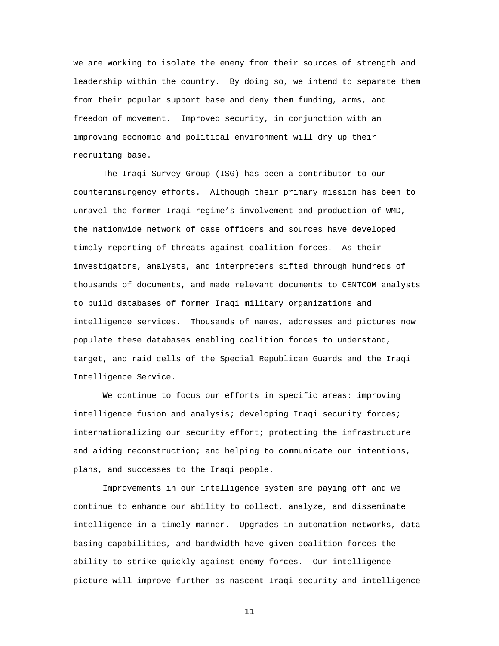we are working to isolate the enemy from their sources of strength and leadership within the country. By doing so, we intend to separate them from their popular support base and deny them funding, arms, and freedom of movement. Improved security, in conjunction with an improving economic and political environment will dry up their recruiting base.

The Iraqi Survey Group (ISG) has been a contributor to our counterinsurgency efforts. Although their primary mission has been to unravel the former Iraqi regime's involvement and production of WMD, the nationwide network of case officers and sources have developed timely reporting of threats against coalition forces. As their investigators, analysts, and interpreters sifted through hundreds of thousands of documents, and made relevant documents to CENTCOM analysts to build databases of former Iraqi military organizations and intelligence services. Thousands of names, addresses and pictures now populate these databases enabling coalition forces to understand, target, and raid cells of the Special Republican Guards and the Iraqi Intelligence Service.

We continue to focus our efforts in specific areas: improving intelligence fusion and analysis; developing Iraqi security forces; internationalizing our security effort; protecting the infrastructure and aiding reconstruction; and helping to communicate our intentions, plans, and successes to the Iraqi people.

Improvements in our intelligence system are paying off and we continue to enhance our ability to collect, analyze, and disseminate intelligence in a timely manner. Upgrades in automation networks, data basing capabilities, and bandwidth have given coalition forces the ability to strike quickly against enemy forces. Our intelligence picture will improve further as nascent Iraqi security and intelligence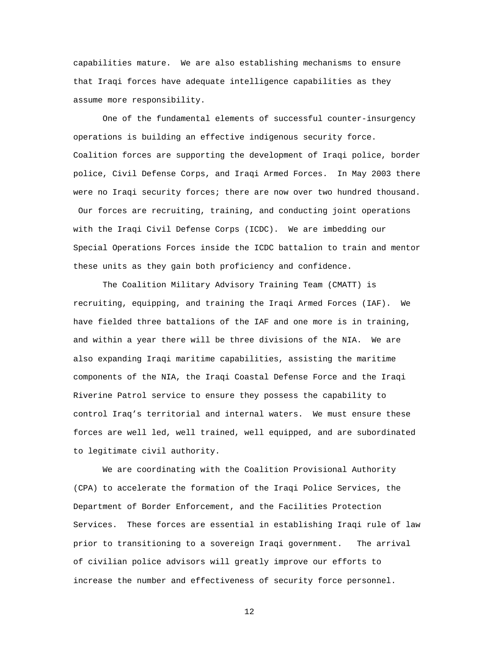capabilities mature. We are also establishing mechanisms to ensure that Iraqi forces have adequate intelligence capabilities as they assume more responsibility.

One of the fundamental elements of successful counter-insurgency operations is building an effective indigenous security force. Coalition forces are supporting the development of Iraqi police, border police, Civil Defense Corps, and Iraqi Armed Forces. In May 2003 there were no Iraqi security forces; there are now over two hundred thousand. Our forces are recruiting, training, and conducting joint operations with the Iraqi Civil Defense Corps (ICDC). We are imbedding our Special Operations Forces inside the ICDC battalion to train and mentor these units as they gain both proficiency and confidence.

The Coalition Military Advisory Training Team (CMATT) is recruiting, equipping, and training the Iraqi Armed Forces (IAF). We have fielded three battalions of the IAF and one more is in training, and within a year there will be three divisions of the NIA. We are also expanding Iraqi maritime capabilities, assisting the maritime components of the NIA, the Iraqi Coastal Defense Force and the Iraqi Riverine Patrol service to ensure they possess the capability to control Iraq's territorial and internal waters. We must ensure these forces are well led, well trained, well equipped, and are subordinated to legitimate civil authority.

We are coordinating with the Coalition Provisional Authority (CPA) to accelerate the formation of the Iraqi Police Services, the Department of Border Enforcement, and the Facilities Protection Services. These forces are essential in establishing Iraqi rule of law prior to transitioning to a sovereign Iraqi government. The arrival of civilian police advisors will greatly improve our efforts to increase the number and effectiveness of security force personnel.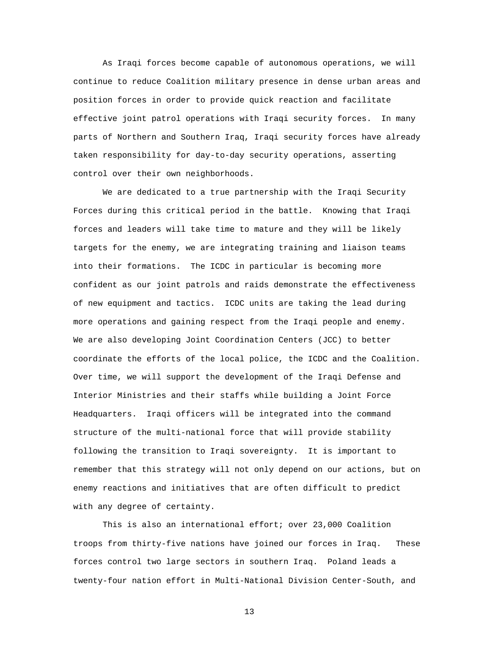As Iraqi forces become capable of autonomous operations, we will continue to reduce Coalition military presence in dense urban areas and position forces in order to provide quick reaction and facilitate effective joint patrol operations with Iraqi security forces. In many parts of Northern and Southern Iraq, Iraqi security forces have already taken responsibility for day-to-day security operations, asserting control over their own neighborhoods.

We are dedicated to a true partnership with the Iraqi Security Forces during this critical period in the battle. Knowing that Iraqi forces and leaders will take time to mature and they will be likely targets for the enemy, we are integrating training and liaison teams into their formations. The ICDC in particular is becoming more confident as our joint patrols and raids demonstrate the effectiveness of new equipment and tactics. ICDC units are taking the lead during more operations and gaining respect from the Iraqi people and enemy. We are also developing Joint Coordination Centers (JCC) to better coordinate the efforts of the local police, the ICDC and the Coalition. Over time, we will support the development of the Iraqi Defense and Interior Ministries and their staffs while building a Joint Force Headquarters. Iraqi officers will be integrated into the command structure of the multi-national force that will provide stability following the transition to Iraqi sovereignty. It is important to remember that this strategy will not only depend on our actions, but on enemy reactions and initiatives that are often difficult to predict with any degree of certainty.

This is also an international effort; over 23,000 Coalition troops from thirty-five nations have joined our forces in Iraq. These forces control two large sectors in southern Iraq. Poland leads a twenty-four nation effort in Multi-National Division Center-South, and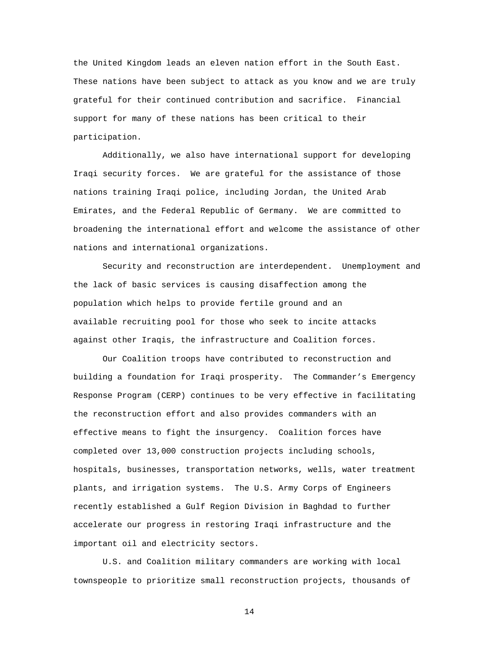the United Kingdom leads an eleven nation effort in the South East. These nations have been subject to attack as you know and we are truly grateful for their continued contribution and sacrifice. Financial support for many of these nations has been critical to their participation.

Additionally, we also have international support for developing Iraqi security forces. We are grateful for the assistance of those nations training Iraqi police, including Jordan, the United Arab Emirates, and the Federal Republic of Germany. We are committed to broadening the international effort and welcome the assistance of other nations and international organizations.

Security and reconstruction are interdependent. Unemployment and the lack of basic services is causing disaffection among the population which helps to provide fertile ground and an available recruiting pool for those who seek to incite attacks against other Iraqis, the infrastructure and Coalition forces.

Our Coalition troops have contributed to reconstruction and building a foundation for Iraqi prosperity. The Commander's Emergency Response Program (CERP) continues to be very effective in facilitating the reconstruction effort and also provides commanders with an effective means to fight the insurgency. Coalition forces have completed over 13,000 construction projects including schools, hospitals, businesses, transportation networks, wells, water treatment plants, and irrigation systems. The U.S. Army Corps of Engineers recently established a Gulf Region Division in Baghdad to further accelerate our progress in restoring Iraqi infrastructure and the important oil and electricity sectors.

U.S. and Coalition military commanders are working with local townspeople to prioritize small reconstruction projects, thousands of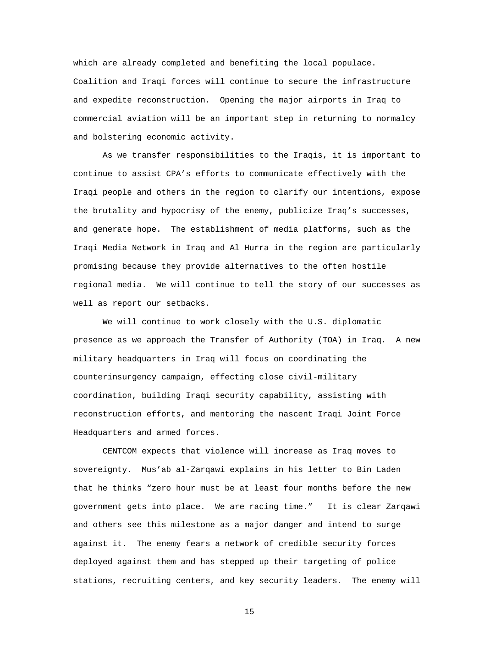which are already completed and benefiting the local populace. Coalition and Iraqi forces will continue to secure the infrastructure and expedite reconstruction. Opening the major airports in Iraq to commercial aviation will be an important step in returning to normalcy and bolstering economic activity.

As we transfer responsibilities to the Iraqis, it is important to continue to assist CPA's efforts to communicate effectively with the Iraqi people and others in the region to clarify our intentions, expose the brutality and hypocrisy of the enemy, publicize Iraq's successes, and generate hope. The establishment of media platforms, such as the Iraqi Media Network in Iraq and Al Hurra in the region are particularly promising because they provide alternatives to the often hostile regional media. We will continue to tell the story of our successes as well as report our setbacks.

We will continue to work closely with the U.S. diplomatic presence as we approach the Transfer of Authority (TOA) in Iraq. A new military headquarters in Iraq will focus on coordinating the counterinsurgency campaign, effecting close civil-military coordination, building Iraqi security capability, assisting with reconstruction efforts, and mentoring the nascent Iraqi Joint Force Headquarters and armed forces.

CENTCOM expects that violence will increase as Iraq moves to sovereignty. Mus'ab al-Zarqawi explains in his letter to Bin Laden that he thinks "zero hour must be at least four months before the new government gets into place. We are racing time." It is clear Zarqawi and others see this milestone as a major danger and intend to surge against it. The enemy fears a network of credible security forces deployed against them and has stepped up their targeting of police stations, recruiting centers, and key security leaders. The enemy will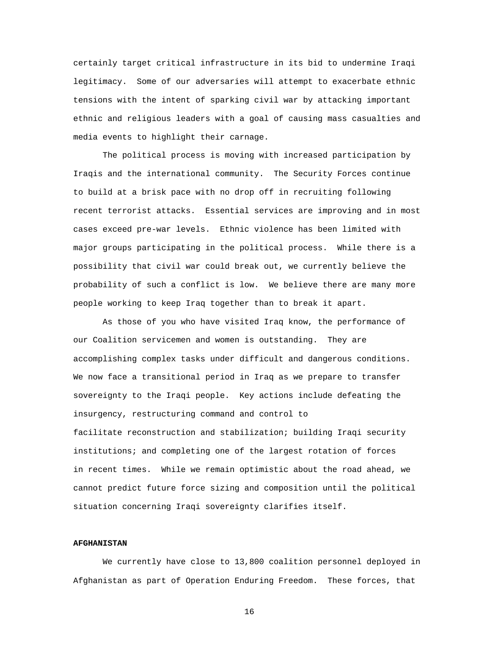certainly target critical infrastructure in its bid to undermine Iraqi legitimacy. Some of our adversaries will attempt to exacerbate ethnic tensions with the intent of sparking civil war by attacking important ethnic and religious leaders with a goal of causing mass casualties and media events to highlight their carnage.

The political process is moving with increased participation by Iraqis and the international community. The Security Forces continue to build at a brisk pace with no drop off in recruiting following recent terrorist attacks. Essential services are improving and in most cases exceed pre-war levels. Ethnic violence has been limited with major groups participating in the political process. While there is a possibility that civil war could break out, we currently believe the probability of such a conflict is low. We believe there are many more people working to keep Iraq together than to break it apart.

As those of you who have visited Iraq know, the performance of our Coalition servicemen and women is outstanding. They are accomplishing complex tasks under difficult and dangerous conditions. We now face a transitional period in Iraq as we prepare to transfer sovereignty to the Iraqi people. Key actions include defeating the insurgency, restructuring command and control to facilitate reconstruction and stabilization; building Iraqi security institutions; and completing one of the largest rotation of forces in recent times. While we remain optimistic about the road ahead, we cannot predict future force sizing and composition until the political situation concerning Iraqi sovereignty clarifies itself.

### **AFGHANISTAN**

We currently have close to 13,800 coalition personnel deployed in Afghanistan as part of Operation Enduring Freedom. These forces, that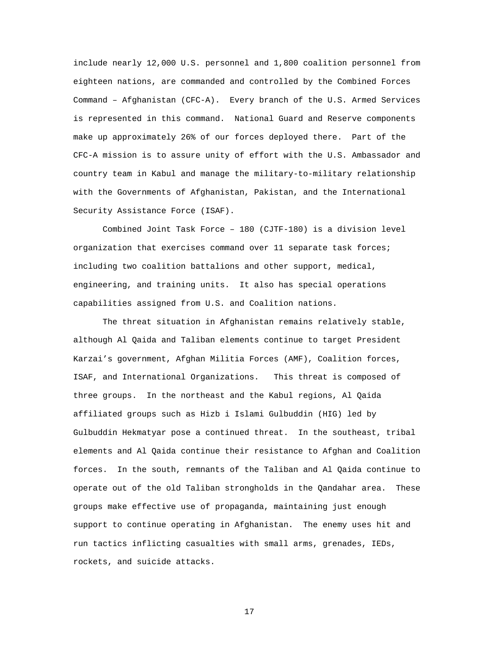include nearly 12,000 U.S. personnel and 1,800 coalition personnel from eighteen nations, are commanded and controlled by the Combined Forces Command – Afghanistan (CFC-A). Every branch of the U.S. Armed Services is represented in this command. National Guard and Reserve components make up approximately 26% of our forces deployed there. Part of the CFC-A mission is to assure unity of effort with the U.S. Ambassador and country team in Kabul and manage the military-to-military relationship with the Governments of Afghanistan, Pakistan, and the International Security Assistance Force (ISAF).

Combined Joint Task Force – 180 (CJTF-180) is a division level organization that exercises command over 11 separate task forces; including two coalition battalions and other support, medical, engineering, and training units. It also has special operations capabilities assigned from U.S. and Coalition nations.

 The threat situation in Afghanistan remains relatively stable, although Al Qaida and Taliban elements continue to target President Karzai's government, Afghan Militia Forces (AMF), Coalition forces, ISAF, and International Organizations. This threat is composed of three groups. In the northeast and the Kabul regions, Al Qaida affiliated groups such as Hizb i Islami Gulbuddin (HIG) led by Gulbuddin Hekmatyar pose a continued threat. In the southeast, tribal elements and Al Qaida continue their resistance to Afghan and Coalition forces. In the south, remnants of the Taliban and Al Qaida continue to operate out of the old Taliban strongholds in the Qandahar area. These groups make effective use of propaganda, maintaining just enough support to continue operating in Afghanistan. The enemy uses hit and run tactics inflicting casualties with small arms, grenades, IEDs, rockets, and suicide attacks.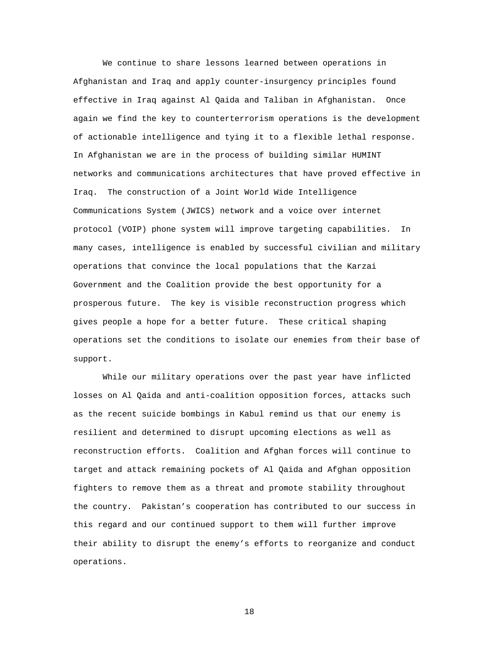We continue to share lessons learned between operations in Afghanistan and Iraq and apply counter-insurgency principles found effective in Iraq against Al Qaida and Taliban in Afghanistan. Once again we find the key to counterterrorism operations is the development of actionable intelligence and tying it to a flexible lethal response. In Afghanistan we are in the process of building similar HUMINT networks and communications architectures that have proved effective in Iraq. The construction of a Joint World Wide Intelligence Communications System (JWICS) network and a voice over internet protocol (VOIP) phone system will improve targeting capabilities. In many cases, intelligence is enabled by successful civilian and military operations that convince the local populations that the Karzai Government and the Coalition provide the best opportunity for a prosperous future. The key is visible reconstruction progress which gives people a hope for a better future. These critical shaping operations set the conditions to isolate our enemies from their base of support.

While our military operations over the past year have inflicted losses on Al Qaida and anti-coalition opposition forces, attacks such as the recent suicide bombings in Kabul remind us that our enemy is resilient and determined to disrupt upcoming elections as well as reconstruction efforts. Coalition and Afghan forces will continue to target and attack remaining pockets of Al Qaida and Afghan opposition fighters to remove them as a threat and promote stability throughout the country. Pakistan's cooperation has contributed to our success in this regard and our continued support to them will further improve their ability to disrupt the enemy's efforts to reorganize and conduct operations.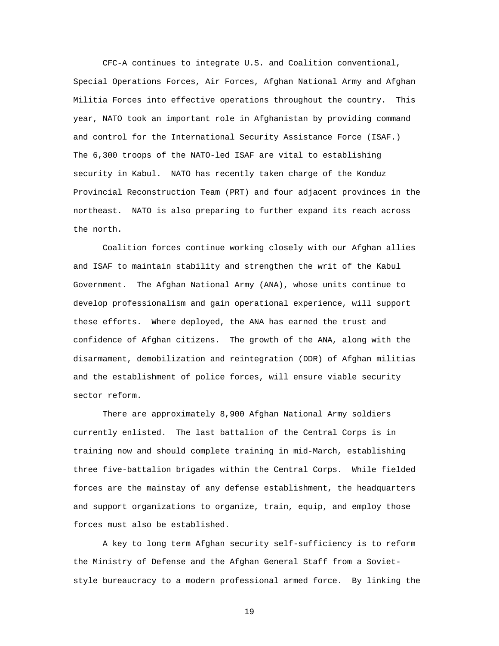CFC-A continues to integrate U.S. and Coalition conventional, Special Operations Forces, Air Forces, Afghan National Army and Afghan Militia Forces into effective operations throughout the country. This year, NATO took an important role in Afghanistan by providing command and control for the International Security Assistance Force (ISAF.) The 6,300 troops of the NATO-led ISAF are vital to establishing security in Kabul. NATO has recently taken charge of the Konduz Provincial Reconstruction Team (PRT) and four adjacent provinces in the northeast. NATO is also preparing to further expand its reach across the north.

Coalition forces continue working closely with our Afghan allies and ISAF to maintain stability and strengthen the writ of the Kabul Government. The Afghan National Army (ANA), whose units continue to develop professionalism and gain operational experience, will support these efforts. Where deployed, the ANA has earned the trust and confidence of Afghan citizens. The growth of the ANA, along with the disarmament, demobilization and reintegration (DDR) of Afghan militias and the establishment of police forces, will ensure viable security sector reform.

There are approximately 8,900 Afghan National Army soldiers currently enlisted. The last battalion of the Central Corps is in training now and should complete training in mid-March, establishing three five-battalion brigades within the Central Corps. While fielded forces are the mainstay of any defense establishment, the headquarters and support organizations to organize, train, equip, and employ those forces must also be established.

A key to long term Afghan security self-sufficiency is to reform the Ministry of Defense and the Afghan General Staff from a Sovietstyle bureaucracy to a modern professional armed force. By linking the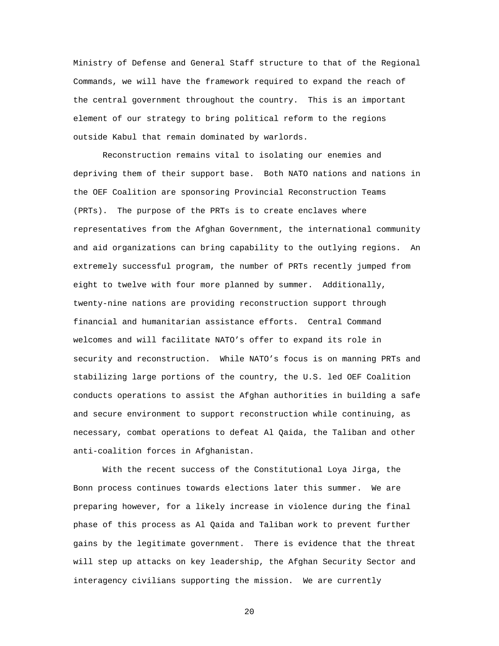Ministry of Defense and General Staff structure to that of the Regional Commands, we will have the framework required to expand the reach of the central government throughout the country. This is an important element of our strategy to bring political reform to the regions outside Kabul that remain dominated by warlords.

Reconstruction remains vital to isolating our enemies and depriving them of their support base. Both NATO nations and nations in the OEF Coalition are sponsoring Provincial Reconstruction Teams (PRTs). The purpose of the PRTs is to create enclaves where representatives from the Afghan Government, the international community and aid organizations can bring capability to the outlying regions. An extremely successful program, the number of PRTs recently jumped from eight to twelve with four more planned by summer. Additionally, twenty-nine nations are providing reconstruction support through financial and humanitarian assistance efforts. Central Command welcomes and will facilitate NATO's offer to expand its role in security and reconstruction. While NATO's focus is on manning PRTs and stabilizing large portions of the country, the U.S. led OEF Coalition conducts operations to assist the Afghan authorities in building a safe and secure environment to support reconstruction while continuing, as necessary, combat operations to defeat Al Qaida, the Taliban and other anti-coalition forces in Afghanistan.

With the recent success of the Constitutional Loya Jirga, the Bonn process continues towards elections later this summer. We are preparing however, for a likely increase in violence during the final phase of this process as Al Qaida and Taliban work to prevent further gains by the legitimate government. There is evidence that the threat will step up attacks on key leadership, the Afghan Security Sector and interagency civilians supporting the mission. We are currently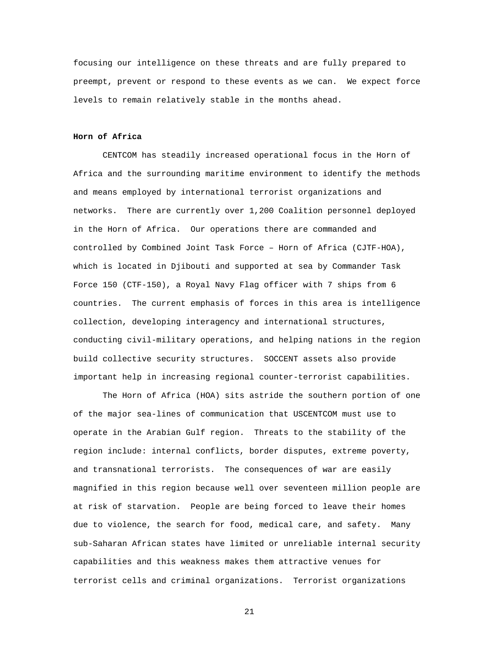focusing our intelligence on these threats and are fully prepared to preempt, prevent or respond to these events as we can. We expect force levels to remain relatively stable in the months ahead.

# **Horn of Africa**

CENTCOM has steadily increased operational focus in the Horn of Africa and the surrounding maritime environment to identify the methods and means employed by international terrorist organizations and networks. There are currently over 1,200 Coalition personnel deployed in the Horn of Africa. Our operations there are commanded and controlled by Combined Joint Task Force – Horn of Africa (CJTF-HOA), which is located in Djibouti and supported at sea by Commander Task Force 150 (CTF-150), a Royal Navy Flag officer with 7 ships from 6 countries. The current emphasis of forces in this area is intelligence collection, developing interagency and international structures, conducting civil-military operations, and helping nations in the region build collective security structures. SOCCENT assets also provide important help in increasing regional counter-terrorist capabilities.

The Horn of Africa (HOA) sits astride the southern portion of one of the major sea-lines of communication that USCENTCOM must use to operate in the Arabian Gulf region. Threats to the stability of the region include: internal conflicts, border disputes, extreme poverty, and transnational terrorists. The consequences of war are easily magnified in this region because well over seventeen million people are at risk of starvation. People are being forced to leave their homes due to violence, the search for food, medical care, and safety. Many sub-Saharan African states have limited or unreliable internal security capabilities and this weakness makes them attractive venues for terrorist cells and criminal organizations. Terrorist organizations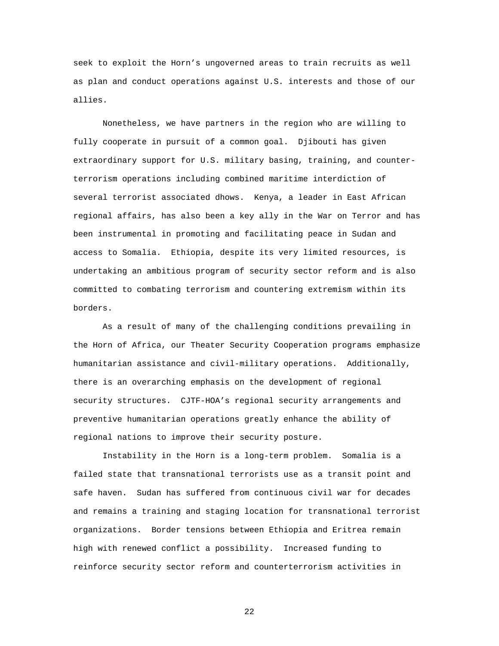seek to exploit the Horn's ungoverned areas to train recruits as well as plan and conduct operations against U.S. interests and those of our allies.

Nonetheless, we have partners in the region who are willing to fully cooperate in pursuit of a common goal. Djibouti has given extraordinary support for U.S. military basing, training, and counterterrorism operations including combined maritime interdiction of several terrorist associated dhows. Kenya, a leader in East African regional affairs, has also been a key ally in the War on Terror and has been instrumental in promoting and facilitating peace in Sudan and access to Somalia. Ethiopia, despite its very limited resources, is undertaking an ambitious program of security sector reform and is also committed to combating terrorism and countering extremism within its borders.

As a result of many of the challenging conditions prevailing in the Horn of Africa, our Theater Security Cooperation programs emphasize humanitarian assistance and civil-military operations. Additionally, there is an overarching emphasis on the development of regional security structures. CJTF-HOA's regional security arrangements and preventive humanitarian operations greatly enhance the ability of regional nations to improve their security posture.

Instability in the Horn is a long-term problem. Somalia is a failed state that transnational terrorists use as a transit point and safe haven. Sudan has suffered from continuous civil war for decades and remains a training and staging location for transnational terrorist organizations. Border tensions between Ethiopia and Eritrea remain high with renewed conflict a possibility. Increased funding to reinforce security sector reform and counterterrorism activities in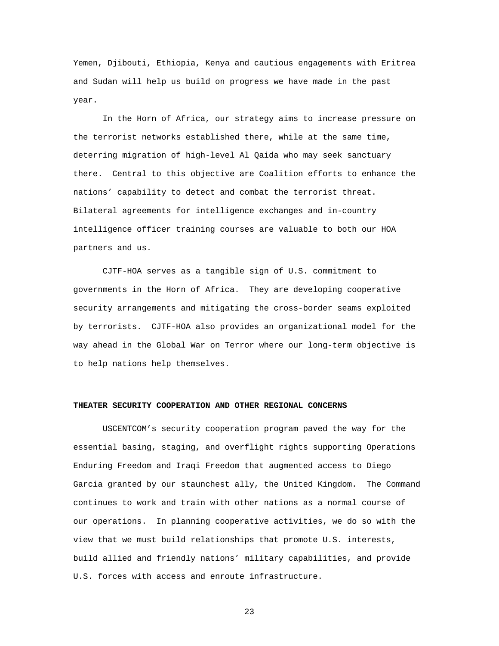Yemen, Djibouti, Ethiopia, Kenya and cautious engagements with Eritrea and Sudan will help us build on progress we have made in the past year.

In the Horn of Africa, our strategy aims to increase pressure on the terrorist networks established there, while at the same time, deterring migration of high-level Al Qaida who may seek sanctuary there. Central to this objective are Coalition efforts to enhance the nations' capability to detect and combat the terrorist threat. Bilateral agreements for intelligence exchanges and in-country intelligence officer training courses are valuable to both our HOA partners and us.

CJTF-HOA serves as a tangible sign of U.S. commitment to governments in the Horn of Africa. They are developing cooperative security arrangements and mitigating the cross-border seams exploited by terrorists. CJTF-HOA also provides an organizational model for the way ahead in the Global War on Terror where our long-term objective is to help nations help themselves.

### **THEATER SECURITY COOPERATION AND OTHER REGIONAL CONCERNS**

USCENTCOM's security cooperation program paved the way for the essential basing, staging, and overflight rights supporting Operations Enduring Freedom and Iraqi Freedom that augmented access to Diego Garcia granted by our staunchest ally, the United Kingdom. The Command continues to work and train with other nations as a normal course of our operations. In planning cooperative activities, we do so with the view that we must build relationships that promote U.S. interests, build allied and friendly nations' military capabilities, and provide U.S. forces with access and enroute infrastructure.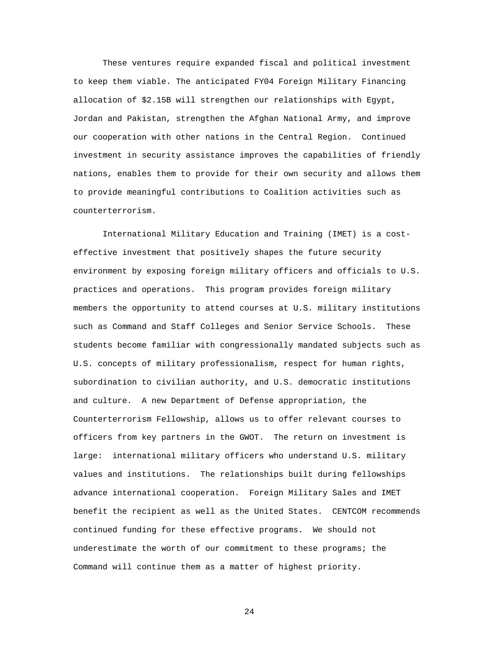These ventures require expanded fiscal and political investment to keep them viable. The anticipated FY04 Foreign Military Financing allocation of \$2.15B will strengthen our relationships with Egypt, Jordan and Pakistan, strengthen the Afghan National Army, and improve our cooperation with other nations in the Central Region. Continued investment in security assistance improves the capabilities of friendly nations, enables them to provide for their own security and allows them to provide meaningful contributions to Coalition activities such as counterterrorism.

International Military Education and Training (IMET) is a costeffective investment that positively shapes the future security environment by exposing foreign military officers and officials to U.S. practices and operations. This program provides foreign military members the opportunity to attend courses at U.S. military institutions such as Command and Staff Colleges and Senior Service Schools. These students become familiar with congressionally mandated subjects such as U.S. concepts of military professionalism, respect for human rights, subordination to civilian authority, and U.S. democratic institutions and culture. A new Department of Defense appropriation, the Counterterrorism Fellowship, allows us to offer relevant courses to officers from key partners in the GWOT. The return on investment is large: international military officers who understand U.S. military values and institutions. The relationships built during fellowships advance international cooperation. Foreign Military Sales and IMET benefit the recipient as well as the United States. CENTCOM recommends continued funding for these effective programs. We should not underestimate the worth of our commitment to these programs; the Command will continue them as a matter of highest priority.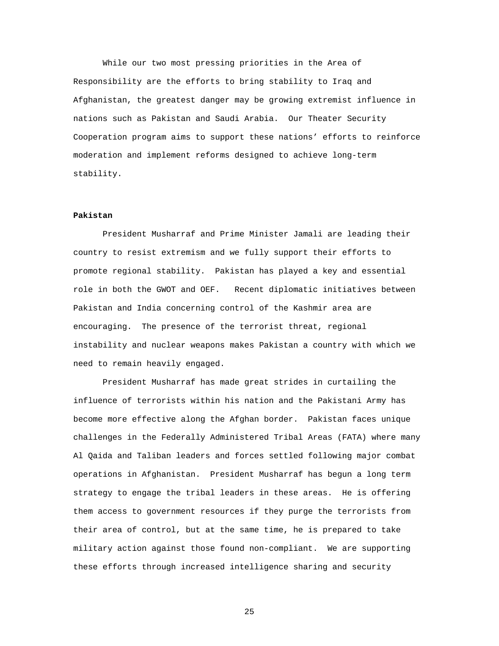While our two most pressing priorities in the Area of Responsibility are the efforts to bring stability to Iraq and Afghanistan, the greatest danger may be growing extremist influence in nations such as Pakistan and Saudi Arabia. Our Theater Security Cooperation program aims to support these nations' efforts to reinforce moderation and implement reforms designed to achieve long-term stability.

### **Pakistan**

President Musharraf and Prime Minister Jamali are leading their country to resist extremism and we fully support their efforts to promote regional stability. Pakistan has played a key and essential role in both the GWOT and OEF. Recent diplomatic initiatives between Pakistan and India concerning control of the Kashmir area are encouraging. The presence of the terrorist threat, regional instability and nuclear weapons makes Pakistan a country with which we need to remain heavily engaged.

President Musharraf has made great strides in curtailing the influence of terrorists within his nation and the Pakistani Army has become more effective along the Afghan border. Pakistan faces unique challenges in the Federally Administered Tribal Areas (FATA) where many Al Qaida and Taliban leaders and forces settled following major combat operations in Afghanistan. President Musharraf has begun a long term strategy to engage the tribal leaders in these areas. He is offering them access to government resources if they purge the terrorists from their area of control, but at the same time, he is prepared to take military action against those found non-compliant. We are supporting these efforts through increased intelligence sharing and security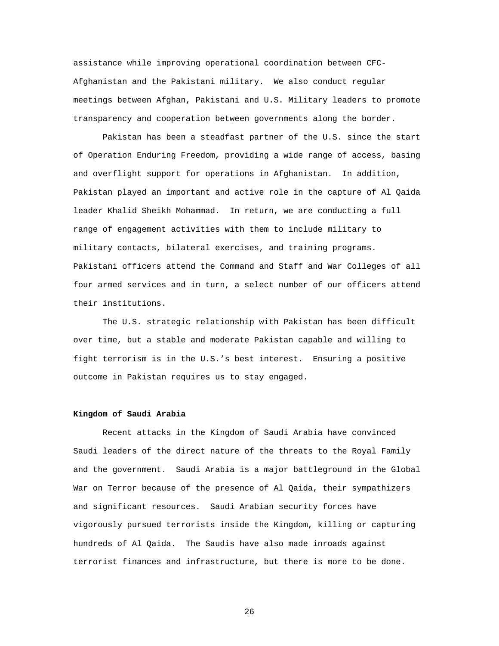assistance while improving operational coordination between CFC-Afghanistan and the Pakistani military. We also conduct regular meetings between Afghan, Pakistani and U.S. Military leaders to promote transparency and cooperation between governments along the border.

Pakistan has been a steadfast partner of the U.S. since the start of Operation Enduring Freedom, providing a wide range of access, basing and overflight support for operations in Afghanistan. In addition, Pakistan played an important and active role in the capture of Al Qaida leader Khalid Sheikh Mohammad. In return, we are conducting a full range of engagement activities with them to include military to military contacts, bilateral exercises, and training programs. Pakistani officers attend the Command and Staff and War Colleges of all four armed services and in turn, a select number of our officers attend their institutions.

The U.S. strategic relationship with Pakistan has been difficult over time, but a stable and moderate Pakistan capable and willing to fight terrorism is in the U.S.'s best interest. Ensuring a positive outcome in Pakistan requires us to stay engaged.

### **Kingdom of Saudi Arabia**

Recent attacks in the Kingdom of Saudi Arabia have convinced Saudi leaders of the direct nature of the threats to the Royal Family and the government. Saudi Arabia is a major battleground in the Global War on Terror because of the presence of Al Qaida, their sympathizers and significant resources. Saudi Arabian security forces have vigorously pursued terrorists inside the Kingdom, killing or capturing hundreds of Al Qaida. The Saudis have also made inroads against terrorist finances and infrastructure, but there is more to be done.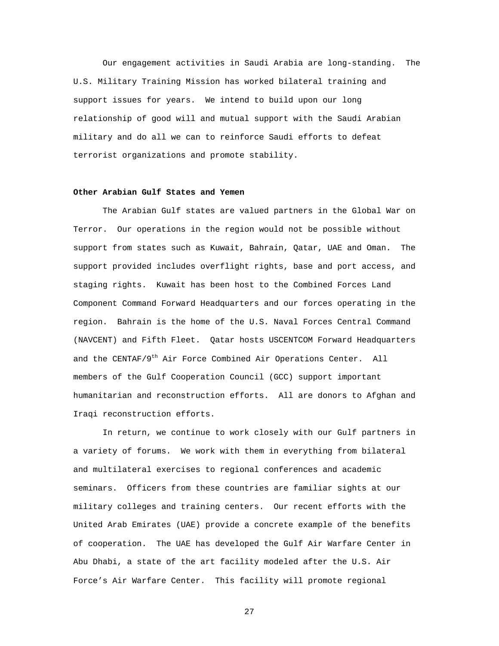Our engagement activities in Saudi Arabia are long-standing. The U.S. Military Training Mission has worked bilateral training and support issues for years. We intend to build upon our long relationship of good will and mutual support with the Saudi Arabian military and do all we can to reinforce Saudi efforts to defeat terrorist organizations and promote stability.

# **Other Arabian Gulf States and Yemen**

The Arabian Gulf states are valued partners in the Global War on Terror. Our operations in the region would not be possible without support from states such as Kuwait, Bahrain, Qatar, UAE and Oman. The support provided includes overflight rights, base and port access, and staging rights. Kuwait has been host to the Combined Forces Land Component Command Forward Headquarters and our forces operating in the region. Bahrain is the home of the U.S. Naval Forces Central Command (NAVCENT) and Fifth Fleet. Qatar hosts USCENTCOM Forward Headquarters and the CENTAF/9<sup>th</sup> Air Force Combined Air Operations Center. All members of the Gulf Cooperation Council (GCC) support important humanitarian and reconstruction efforts. All are donors to Afghan and Iraqi reconstruction efforts.

In return, we continue to work closely with our Gulf partners in a variety of forums. We work with them in everything from bilateral and multilateral exercises to regional conferences and academic seminars. Officers from these countries are familiar sights at our military colleges and training centers. Our recent efforts with the United Arab Emirates (UAE) provide a concrete example of the benefits of cooperation. The UAE has developed the Gulf Air Warfare Center in Abu Dhabi, a state of the art facility modeled after the U.S. Air Force's Air Warfare Center. This facility will promote regional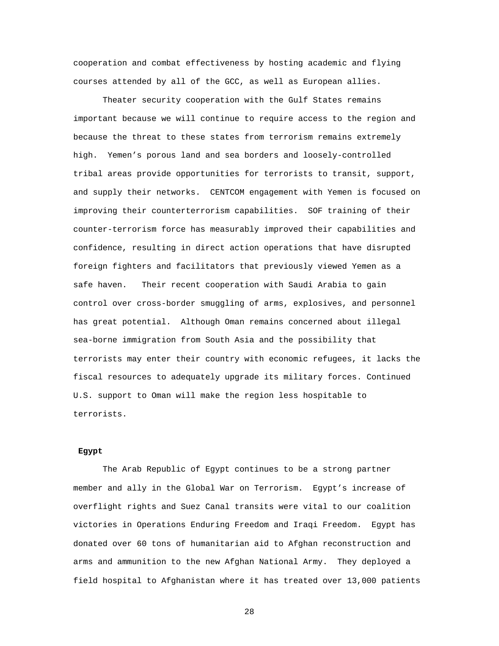cooperation and combat effectiveness by hosting academic and flying courses attended by all of the GCC, as well as European allies.

Theater security cooperation with the Gulf States remains important because we will continue to require access to the region and because the threat to these states from terrorism remains extremely high. Yemen's porous land and sea borders and loosely-controlled tribal areas provide opportunities for terrorists to transit, support, and supply their networks. CENTCOM engagement with Yemen is focused on improving their counterterrorism capabilities. SOF training of their counter-terrorism force has measurably improved their capabilities and confidence, resulting in direct action operations that have disrupted foreign fighters and facilitators that previously viewed Yemen as a safe haven. Their recent cooperation with Saudi Arabia to gain control over cross-border smuggling of arms, explosives, and personnel has great potential. Although Oman remains concerned about illegal sea-borne immigration from South Asia and the possibility that terrorists may enter their country with economic refugees, it lacks the fiscal resources to adequately upgrade its military forces. Continued U.S. support to Oman will make the region less hospitable to terrorists.

# **Egypt**

The Arab Republic of Egypt continues to be a strong partner member and ally in the Global War on Terrorism. Egypt's increase of overflight rights and Suez Canal transits were vital to our coalition victories in Operations Enduring Freedom and Iraqi Freedom. Egypt has donated over 60 tons of humanitarian aid to Afghan reconstruction and arms and ammunition to the new Afghan National Army. They deployed a field hospital to Afghanistan where it has treated over 13,000 patients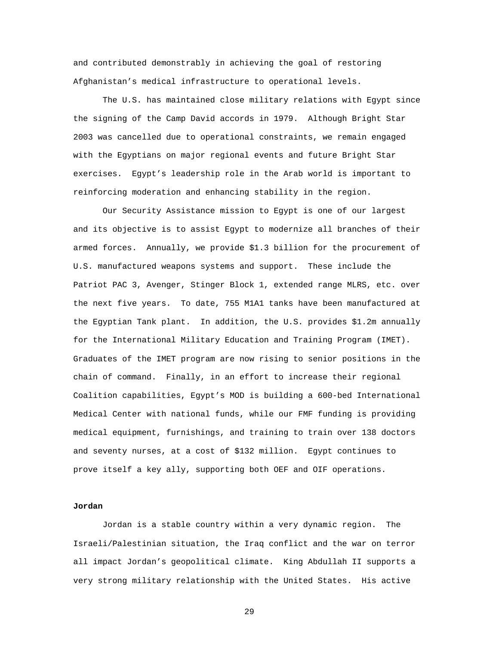and contributed demonstrably in achieving the goal of restoring Afghanistan's medical infrastructure to operational levels.

The U.S. has maintained close military relations with Egypt since the signing of the Camp David accords in 1979. Although Bright Star 2003 was cancelled due to operational constraints, we remain engaged with the Egyptians on major regional events and future Bright Star exercises. Egypt's leadership role in the Arab world is important to reinforcing moderation and enhancing stability in the region.

Our Security Assistance mission to Egypt is one of our largest and its objective is to assist Egypt to modernize all branches of their armed forces. Annually, we provide \$1.3 billion for the procurement of U.S. manufactured weapons systems and support. These include the Patriot PAC 3, Avenger, Stinger Block 1, extended range MLRS, etc. over the next five years. To date, 755 M1A1 tanks have been manufactured at the Egyptian Tank plant. In addition, the U.S. provides \$1.2m annually for the International Military Education and Training Program (IMET). Graduates of the IMET program are now rising to senior positions in the chain of command. Finally, in an effort to increase their regional Coalition capabilities, Egypt's MOD is building a 600-bed International Medical Center with national funds, while our FMF funding is providing medical equipment, furnishings, and training to train over 138 doctors and seventy nurses, at a cost of \$132 million. Egypt continues to prove itself a key ally, supporting both OEF and OIF operations.

# **Jordan**

Jordan is a stable country within a very dynamic region. The Israeli/Palestinian situation, the Iraq conflict and the war on terror all impact Jordan's geopolitical climate. King Abdullah II supports a very strong military relationship with the United States. His active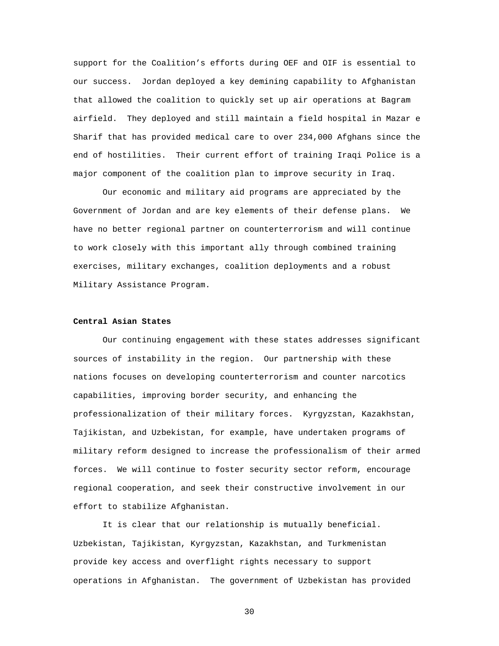support for the Coalition's efforts during OEF and OIF is essential to our success. Jordan deployed a key demining capability to Afghanistan that allowed the coalition to quickly set up air operations at Bagram airfield. They deployed and still maintain a field hospital in Mazar e Sharif that has provided medical care to over 234,000 Afghans since the end of hostilities. Their current effort of training Iraqi Police is a major component of the coalition plan to improve security in Iraq.

Our economic and military aid programs are appreciated by the Government of Jordan and are key elements of their defense plans. We have no better regional partner on counterterrorism and will continue to work closely with this important ally through combined training exercises, military exchanges, coalition deployments and a robust Military Assistance Program.

# **Central Asian States**

Our continuing engagement with these states addresses significant sources of instability in the region. Our partnership with these nations focuses on developing counterterrorism and counter narcotics capabilities, improving border security, and enhancing the professionalization of their military forces. Kyrgyzstan, Kazakhstan, Tajikistan, and Uzbekistan, for example, have undertaken programs of military reform designed to increase the professionalism of their armed forces. We will continue to foster security sector reform, encourage regional cooperation, and seek their constructive involvement in our effort to stabilize Afghanistan.

It is clear that our relationship is mutually beneficial. Uzbekistan, Tajikistan, Kyrgyzstan, Kazakhstan, and Turkmenistan provide key access and overflight rights necessary to support operations in Afghanistan. The government of Uzbekistan has provided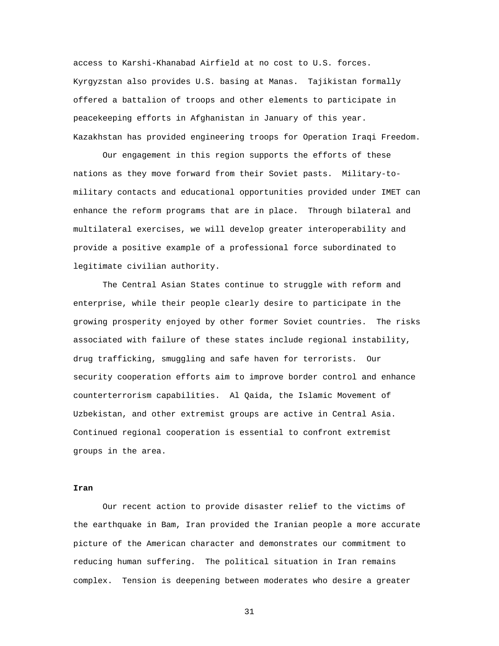access to Karshi-Khanabad Airfield at no cost to U.S. forces. Kyrgyzstan also provides U.S. basing at Manas. Tajikistan formally offered a battalion of troops and other elements to participate in peacekeeping efforts in Afghanistan in January of this year. Kazakhstan has provided engineering troops for Operation Iraqi Freedom.

Our engagement in this region supports the efforts of these nations as they move forward from their Soviet pasts. Military-tomilitary contacts and educational opportunities provided under IMET can enhance the reform programs that are in place. Through bilateral and multilateral exercises, we will develop greater interoperability and provide a positive example of a professional force subordinated to legitimate civilian authority.

The Central Asian States continue to struggle with reform and enterprise, while their people clearly desire to participate in the growing prosperity enjoyed by other former Soviet countries. The risks associated with failure of these states include regional instability, drug trafficking, smuggling and safe haven for terrorists. Our security cooperation efforts aim to improve border control and enhance counterterrorism capabilities. Al Qaida, the Islamic Movement of Uzbekistan, and other extremist groups are active in Central Asia. Continued regional cooperation is essential to confront extremist groups in the area.

# **Iran**

Our recent action to provide disaster relief to the victims of the earthquake in Bam, Iran provided the Iranian people a more accurate picture of the American character and demonstrates our commitment to reducing human suffering. The political situation in Iran remains complex. Tension is deepening between moderates who desire a greater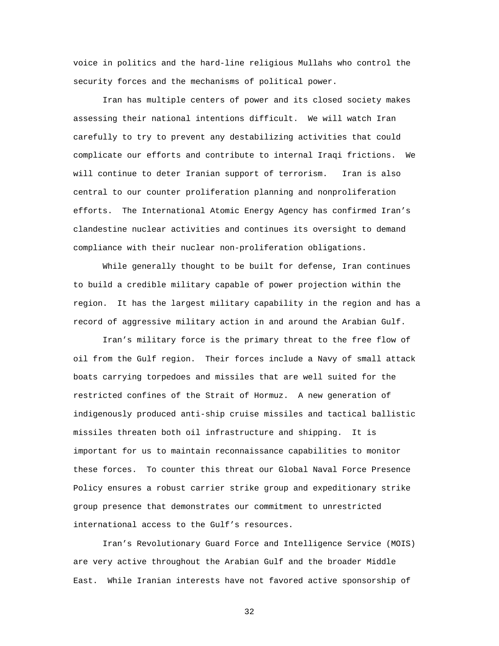voice in politics and the hard-line religious Mullahs who control the security forces and the mechanisms of political power.

Iran has multiple centers of power and its closed society makes assessing their national intentions difficult. We will watch Iran carefully to try to prevent any destabilizing activities that could complicate our efforts and contribute to internal Iraqi frictions. We will continue to deter Iranian support of terrorism. Iran is also central to our counter proliferation planning and nonproliferation efforts. The International Atomic Energy Agency has confirmed Iran's clandestine nuclear activities and continues its oversight to demand compliance with their nuclear non-proliferation obligations.

While generally thought to be built for defense, Iran continues to build a credible military capable of power projection within the region. It has the largest military capability in the region and has a record of aggressive military action in and around the Arabian Gulf.

Iran's military force is the primary threat to the free flow of oil from the Gulf region. Their forces include a Navy of small attack boats carrying torpedoes and missiles that are well suited for the restricted confines of the Strait of Hormuz. A new generation of indigenously produced anti-ship cruise missiles and tactical ballistic missiles threaten both oil infrastructure and shipping. It is important for us to maintain reconnaissance capabilities to monitor these forces. To counter this threat our Global Naval Force Presence Policy ensures a robust carrier strike group and expeditionary strike group presence that demonstrates our commitment to unrestricted international access to the Gulf's resources.

Iran's Revolutionary Guard Force and Intelligence Service (MOIS) are very active throughout the Arabian Gulf and the broader Middle East. While Iranian interests have not favored active sponsorship of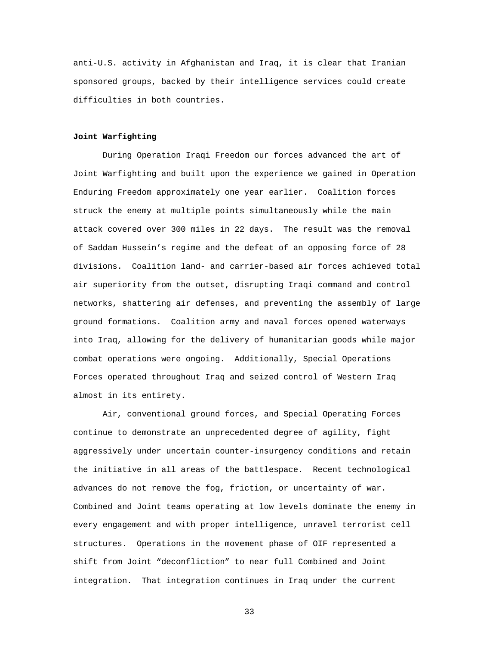anti-U.S. activity in Afghanistan and Iraq, it is clear that Iranian sponsored groups, backed by their intelligence services could create difficulties in both countries.

#### **Joint Warfighting**

During Operation Iraqi Freedom our forces advanced the art of Joint Warfighting and built upon the experience we gained in Operation Enduring Freedom approximately one year earlier. Coalition forces struck the enemy at multiple points simultaneously while the main attack covered over 300 miles in 22 days. The result was the removal of Saddam Hussein's regime and the defeat of an opposing force of 28 divisions. Coalition land- and carrier-based air forces achieved total air superiority from the outset, disrupting Iraqi command and control networks, shattering air defenses, and preventing the assembly of large ground formations. Coalition army and naval forces opened waterways into Iraq, allowing for the delivery of humanitarian goods while major combat operations were ongoing. Additionally, Special Operations Forces operated throughout Iraq and seized control of Western Iraq almost in its entirety.

Air, conventional ground forces, and Special Operating Forces continue to demonstrate an unprecedented degree of agility, fight aggressively under uncertain counter-insurgency conditions and retain the initiative in all areas of the battlespace. Recent technological advances do not remove the fog, friction, or uncertainty of war. Combined and Joint teams operating at low levels dominate the enemy in every engagement and with proper intelligence, unravel terrorist cell structures. Operations in the movement phase of OIF represented a shift from Joint "deconfliction" to near full Combined and Joint integration. That integration continues in Iraq under the current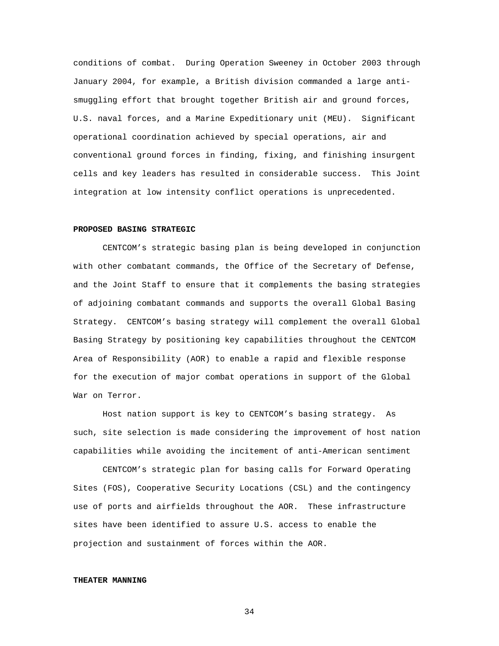conditions of combat. During Operation Sweeney in October 2003 through January 2004, for example, a British division commanded a large antismuggling effort that brought together British air and ground forces, U.S. naval forces, and a Marine Expeditionary unit (MEU). Significant operational coordination achieved by special operations, air and conventional ground forces in finding, fixing, and finishing insurgent cells and key leaders has resulted in considerable success. This Joint integration at low intensity conflict operations is unprecedented.

# **PROPOSED BASING STRATEGIC**

CENTCOM's strategic basing plan is being developed in conjunction with other combatant commands, the Office of the Secretary of Defense, and the Joint Staff to ensure that it complements the basing strategies of adjoining combatant commands and supports the overall Global Basing Strategy. CENTCOM's basing strategy will complement the overall Global Basing Strategy by positioning key capabilities throughout the CENTCOM Area of Responsibility (AOR) to enable a rapid and flexible response for the execution of major combat operations in support of the Global War on Terror.

 Host nation support is key to CENTCOM's basing strategy. As such, site selection is made considering the improvement of host nation capabilities while avoiding the incitement of anti-American sentiment

 CENTCOM's strategic plan for basing calls for Forward Operating Sites (FOS), Cooperative Security Locations (CSL) and the contingency use of ports and airfields throughout the AOR. These infrastructure sites have been identified to assure U.S. access to enable the projection and sustainment of forces within the AOR.

### **THEATER MANNING**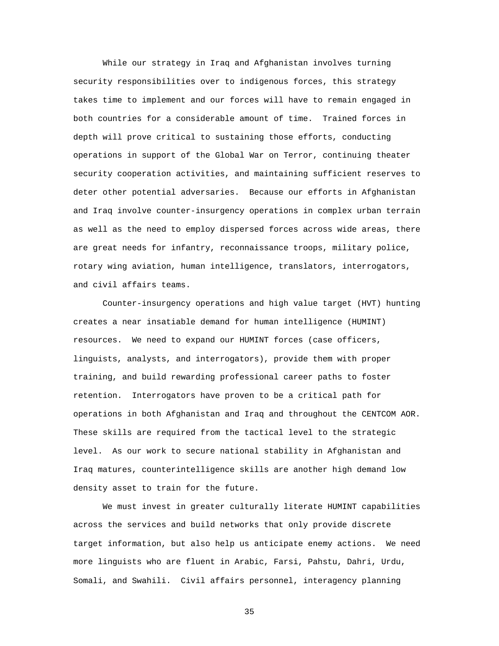While our strategy in Iraq and Afghanistan involves turning security responsibilities over to indigenous forces, this strategy takes time to implement and our forces will have to remain engaged in both countries for a considerable amount of time. Trained forces in depth will prove critical to sustaining those efforts, conducting operations in support of the Global War on Terror, continuing theater security cooperation activities, and maintaining sufficient reserves to deter other potential adversaries. Because our efforts in Afghanistan and Iraq involve counter-insurgency operations in complex urban terrain as well as the need to employ dispersed forces across wide areas, there are great needs for infantry, reconnaissance troops, military police, rotary wing aviation, human intelligence, translators, interrogators, and civil affairs teams.

Counter-insurgency operations and high value target (HVT) hunting creates a near insatiable demand for human intelligence (HUMINT) resources. We need to expand our HUMINT forces (case officers, linguists, analysts, and interrogators), provide them with proper training, and build rewarding professional career paths to foster retention. Interrogators have proven to be a critical path for operations in both Afghanistan and Iraq and throughout the CENTCOM AOR. These skills are required from the tactical level to the strategic level. As our work to secure national stability in Afghanistan and Iraq matures, counterintelligence skills are another high demand low density asset to train for the future.

We must invest in greater culturally literate HUMINT capabilities across the services and build networks that only provide discrete target information, but also help us anticipate enemy actions. We need more linguists who are fluent in Arabic, Farsi, Pahstu, Dahri, Urdu, Somali, and Swahili. Civil affairs personnel, interagency planning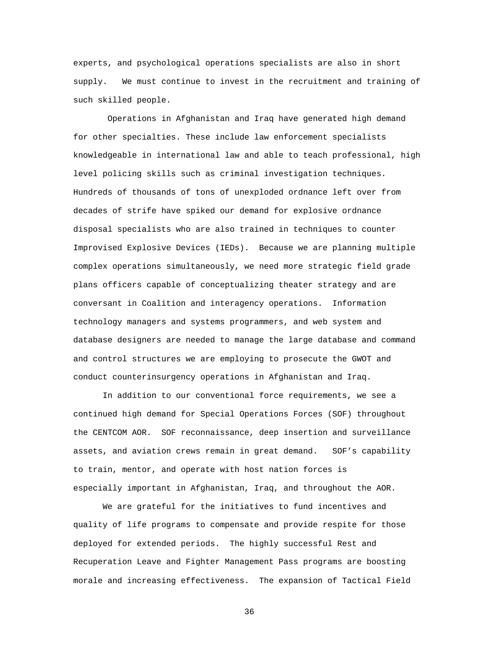experts, and psychological operations specialists are also in short supply. We must continue to invest in the recruitment and training of such skilled people.

 Operations in Afghanistan and Iraq have generated high demand for other specialties. These include law enforcement specialists knowledgeable in international law and able to teach professional, high level policing skills such as criminal investigation techniques. Hundreds of thousands of tons of unexploded ordnance left over from decades of strife have spiked our demand for explosive ordnance disposal specialists who are also trained in techniques to counter Improvised Explosive Devices (IEDs). Because we are planning multiple complex operations simultaneously, we need more strategic field grade plans officers capable of conceptualizing theater strategy and are conversant in Coalition and interagency operations. Information technology managers and systems programmers, and web system and database designers are needed to manage the large database and command and control structures we are employing to prosecute the GWOT and conduct counterinsurgency operations in Afghanistan and Iraq.

In addition to our conventional force requirements, we see a continued high demand for Special Operations Forces (SOF) throughout the CENTCOM AOR. SOF reconnaissance, deep insertion and surveillance assets, and aviation crews remain in great demand. SOF's capability to train, mentor, and operate with host nation forces is especially important in Afghanistan, Iraq, and throughout the AOR.

We are grateful for the initiatives to fund incentives and quality of life programs to compensate and provide respite for those deployed for extended periods. The highly successful Rest and Recuperation Leave and Fighter Management Pass programs are boosting morale and increasing effectiveness. The expansion of Tactical Field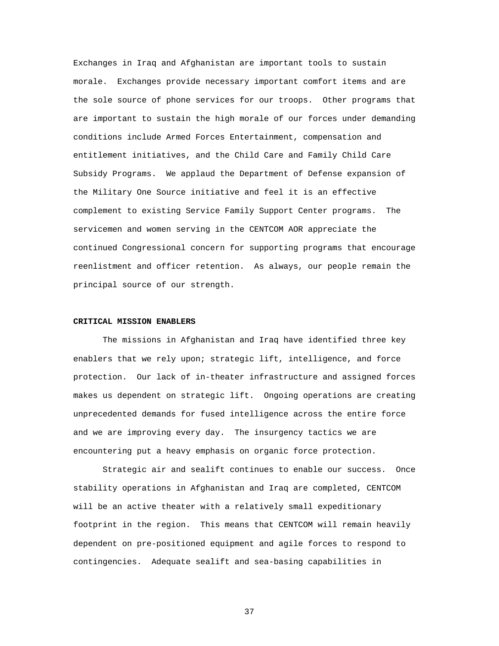Exchanges in Iraq and Afghanistan are important tools to sustain morale. Exchanges provide necessary important comfort items and are the sole source of phone services for our troops. Other programs that are important to sustain the high morale of our forces under demanding conditions include Armed Forces Entertainment, compensation and entitlement initiatives, and the Child Care and Family Child Care Subsidy Programs. We applaud the Department of Defense expansion of the Military One Source initiative and feel it is an effective complement to existing Service Family Support Center programs. The servicemen and women serving in the CENTCOM AOR appreciate the continued Congressional concern for supporting programs that encourage reenlistment and officer retention. As always, our people remain the principal source of our strength.

#### **CRITICAL MISSION ENABLERS**

The missions in Afghanistan and Iraq have identified three key enablers that we rely upon; strategic lift, intelligence, and force protection. Our lack of in-theater infrastructure and assigned forces makes us dependent on strategic lift. Ongoing operations are creating unprecedented demands for fused intelligence across the entire force and we are improving every day. The insurgency tactics we are encountering put a heavy emphasis on organic force protection.

Strategic air and sealift continues to enable our success. Once stability operations in Afghanistan and Iraq are completed, CENTCOM will be an active theater with a relatively small expeditionary footprint in the region. This means that CENTCOM will remain heavily dependent on pre-positioned equipment and agile forces to respond to contingencies. Adequate sealift and sea-basing capabilities in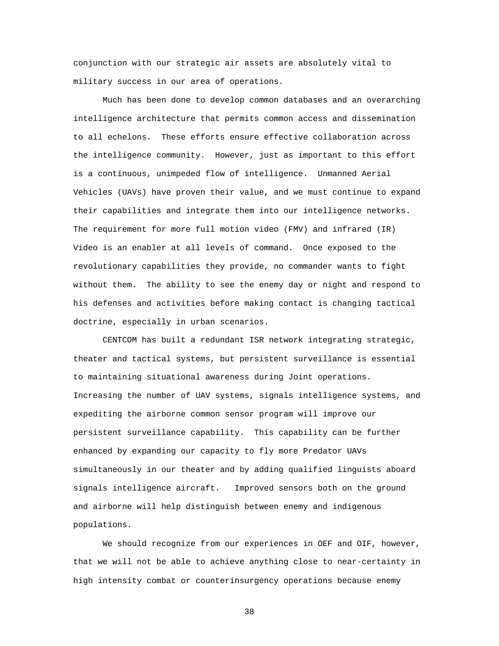conjunction with our strategic air assets are absolutely vital to military success in our area of operations.

Much has been done to develop common databases and an overarching intelligence architecture that permits common access and dissemination to all echelons. These efforts ensure effective collaboration across the intelligence community. However, just as important to this effort is a continuous, unimpeded flow of intelligence. Unmanned Aerial Vehicles (UAVs) have proven their value, and we must continue to expand their capabilities and integrate them into our intelligence networks. The requirement for more full motion video (FMV) and infrared (IR) Video is an enabler at all levels of command. Once exposed to the revolutionary capabilities they provide, no commander wants to fight without them. The ability to see the enemy day or night and respond to his defenses and activities before making contact is changing tactical doctrine, especially in urban scenarios.

CENTCOM has built a redundant ISR network integrating strategic, theater and tactical systems, but persistent surveillance is essential to maintaining situational awareness during Joint operations. Increasing the number of UAV systems, signals intelligence systems, and expediting the airborne common sensor program will improve our persistent surveillance capability. This capability can be further enhanced by expanding our capacity to fly more Predator UAVs simultaneously in our theater and by adding qualified linguists aboard signals intelligence aircraft. Improved sensors both on the ground and airborne will help distinguish between enemy and indigenous populations.

We should recognize from our experiences in OEF and OIF, however, that we will not be able to achieve anything close to near-certainty in high intensity combat or counterinsurgency operations because enemy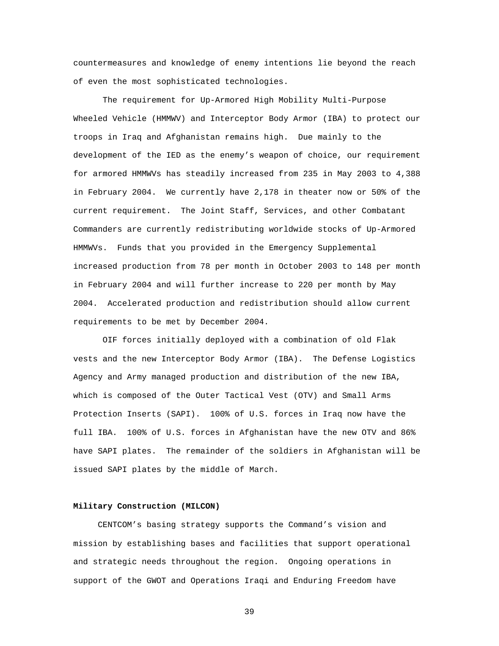countermeasures and knowledge of enemy intentions lie beyond the reach of even the most sophisticated technologies.

The requirement for Up-Armored High Mobility Multi-Purpose Wheeled Vehicle (HMMWV) and Interceptor Body Armor (IBA) to protect our troops in Iraq and Afghanistan remains high. Due mainly to the development of the IED as the enemy's weapon of choice, our requirement for armored HMMWVs has steadily increased from 235 in May 2003 to 4,388 in February 2004. We currently have 2,178 in theater now or 50% of the current requirement. The Joint Staff, Services, and other Combatant Commanders are currently redistributing worldwide stocks of Up-Armored HMMWVs. Funds that you provided in the Emergency Supplemental increased production from 78 per month in October 2003 to 148 per month in February 2004 and will further increase to 220 per month by May 2004. Accelerated production and redistribution should allow current requirements to be met by December 2004.

OIF forces initially deployed with a combination of old Flak vests and the new Interceptor Body Armor (IBA). The Defense Logistics Agency and Army managed production and distribution of the new IBA, which is composed of the Outer Tactical Vest (OTV) and Small Arms Protection Inserts (SAPI). 100% of U.S. forces in Iraq now have the full IBA. 100% of U.S. forces in Afghanistan have the new OTV and 86% have SAPI plates. The remainder of the soldiers in Afghanistan will be issued SAPI plates by the middle of March.

# **Military Construction (MILCON)**

 CENTCOM's basing strategy supports the Command's vision and mission by establishing bases and facilities that support operational and strategic needs throughout the region. Ongoing operations in support of the GWOT and Operations Iraqi and Enduring Freedom have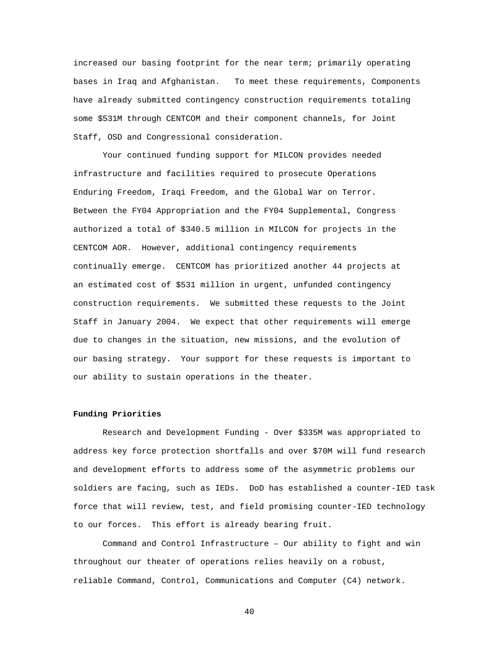increased our basing footprint for the near term; primarily operating bases in Iraq and Afghanistan. To meet these requirements, Components have already submitted contingency construction requirements totaling some \$531M through CENTCOM and their component channels, for Joint Staff, OSD and Congressional consideration.

Your continued funding support for MILCON provides needed infrastructure and facilities required to prosecute Operations Enduring Freedom, Iraqi Freedom, and the Global War on Terror. Between the FY04 Appropriation and the FY04 Supplemental, Congress authorized a total of \$340.5 million in MILCON for projects in the CENTCOM AOR. However, additional contingency requirements continually emerge. CENTCOM has prioritized another 44 projects at an estimated cost of \$531 million in urgent, unfunded contingency construction requirements. We submitted these requests to the Joint Staff in January 2004. We expect that other requirements will emerge due to changes in the situation, new missions, and the evolution of our basing strategy. Your support for these requests is important to our ability to sustain operations in the theater.

## **Funding Priorities**

Research and Development Funding - Over \$335M was appropriated to address key force protection shortfalls and over \$70M will fund research and development efforts to address some of the asymmetric problems our soldiers are facing, such as IEDs. DoD has established a counter-IED task force that will review, test, and field promising counter-IED technology to our forces. This effort is already bearing fruit.

Command and Control Infrastructure – Our ability to fight and win throughout our theater of operations relies heavily on a robust, reliable Command, Control, Communications and Computer (C4) network.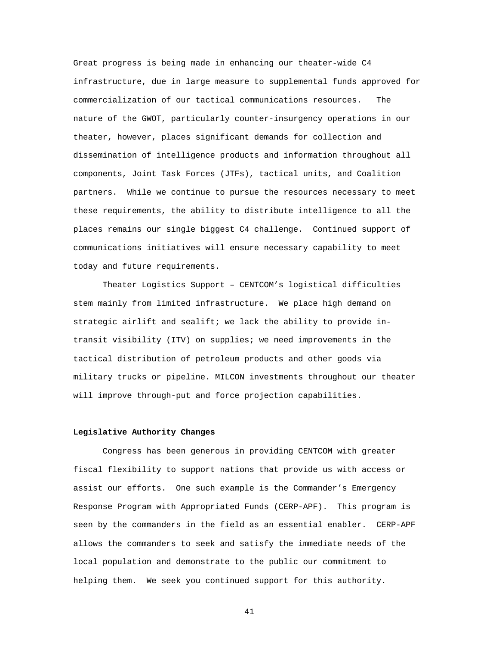Great progress is being made in enhancing our theater-wide C4 infrastructure, due in large measure to supplemental funds approved for commercialization of our tactical communications resources. The nature of the GWOT, particularly counter-insurgency operations in our theater, however, places significant demands for collection and dissemination of intelligence products and information throughout all components, Joint Task Forces (JTFs), tactical units, and Coalition partners. While we continue to pursue the resources necessary to meet these requirements, the ability to distribute intelligence to all the places remains our single biggest C4 challenge. Continued support of communications initiatives will ensure necessary capability to meet today and future requirements.

Theater Logistics Support – CENTCOM's logistical difficulties stem mainly from limited infrastructure. We place high demand on strategic airlift and sealift; we lack the ability to provide intransit visibility (ITV) on supplies; we need improvements in the tactical distribution of petroleum products and other goods via military trucks or pipeline. MILCON investments throughout our theater will improve through-put and force projection capabilities.

#### **Legislative Authority Changes**

Congress has been generous in providing CENTCOM with greater fiscal flexibility to support nations that provide us with access or assist our efforts. One such example is the Commander's Emergency Response Program with Appropriated Funds (CERP-APF). This program is seen by the commanders in the field as an essential enabler. CERP-APF allows the commanders to seek and satisfy the immediate needs of the local population and demonstrate to the public our commitment to helping them. We seek you continued support for this authority.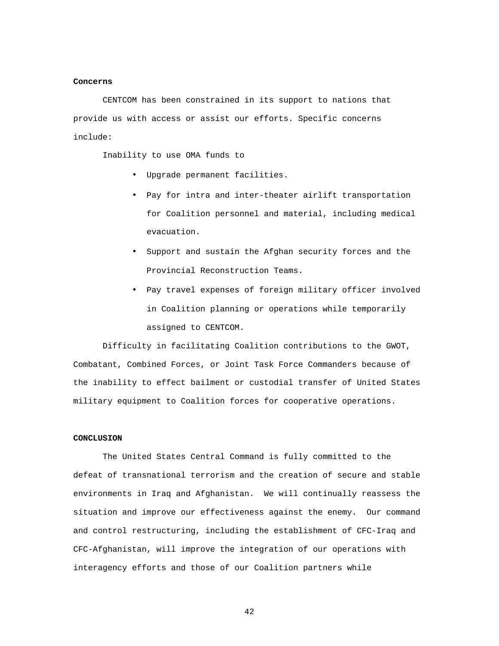#### **Concerns**

CENTCOM has been constrained in its support to nations that provide us with access or assist our efforts. Specific concerns include:

Inability to use OMA funds to

- Upgrade permanent facilities.
- Pay for intra and inter-theater airlift transportation for Coalition personnel and material, including medical evacuation.
- Support and sustain the Afghan security forces and the Provincial Reconstruction Teams.
- Pay travel expenses of foreign military officer involved in Coalition planning or operations while temporarily assigned to CENTCOM.

Difficulty in facilitating Coalition contributions to the GWOT, Combatant, Combined Forces, or Joint Task Force Commanders because of the inability to effect bailment or custodial transfer of United States military equipment to Coalition forces for cooperative operations.

### **CONCLUSION**

The United States Central Command is fully committed to the defeat of transnational terrorism and the creation of secure and stable environments in Iraq and Afghanistan. We will continually reassess the situation and improve our effectiveness against the enemy. Our command and control restructuring, including the establishment of CFC-Iraq and CFC-Afghanistan, will improve the integration of our operations with interagency efforts and those of our Coalition partners while